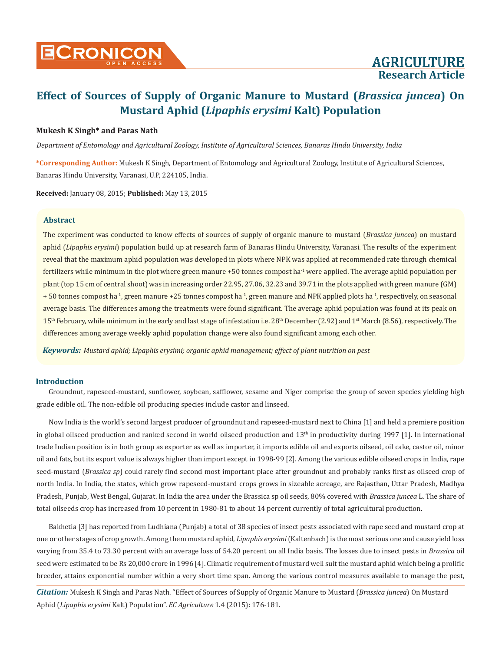#### **Mukesh K Singh\* and Paras Nath**

*Department of Entomology and Agricultural Zoology, Institute of Agricultural Sciences, Banaras Hindu University, India*

**\*Corresponding Author:** Mukesh K Singh, Department of Entomology and Agricultural Zoology, Institute of Agricultural Sciences, Banaras Hindu University, Varanasi, U.P, 224105, India.

**Received:** January 08, 2015; **Published:** May 13, 2015

### **Abstract**

The experiment was conducted to know effects of sources of supply of organic manure to mustard (*Brassica juncea*) on mustard aphid (*Lipaphis erysimi*) population build up at research farm of Banaras Hindu University, Varanasi. The results of the experiment reveal that the maximum aphid population was developed in plots where NPK was applied at recommended rate through chemical fertilizers while minimum in the plot where green manure  $+50$  tonnes compost ha<sup>-1</sup> were applied. The average aphid population per plant (top 15 cm of central shoot) was in increasing order 22.95, 27.06, 32.23 and 39.71 in the plots applied with green manure (GM) + 50 tonnes compost ha<sup>-1</sup>, green manure +25 tonnes compost ha<sup>-1</sup>, green manure and NPK applied plots ha<sup>-1</sup>, respectively, on seasonal average basis. The differences among the treatments were found significant. The average aphid population was found at its peak on 15<sup>th</sup> February, while minimum in the early and last stage of infestation i.e. 28<sup>th</sup> December (2.92) and 1<sup>st</sup> March (8.56), respectively. The differences among average weekly aphid population change were also found significant among each other.

*Keywords: Mustard aphid; Lipaphis erysimi; organic aphid management; effect of plant nutrition on pest*

#### **Introduction**

Groundnut, rapeseed-mustard, sunflower, soybean, safflower, sesame and Niger comprise the group of seven species yielding high grade edible oil. The non-edible oil producing species include castor and linseed.

Now India is the world's second largest producer of groundnut and rapeseed-mustard next to China [1] and held a premiere position in global oilseed production and ranked second in world oilseed production and 13<sup>th</sup> in productivity during 1997 [1]. In international trade Indian position is in both group as exporter as well as importer, it imports edible oil and exports oilseed, oil cake, castor oil, minor oil and fats, but its export value is always higher than import except in 1998-99 [2]. Among the various edible oilseed crops in India, rape seed-mustard (*Brassica sp*) could rarely find second most important place after groundnut and probably ranks first as oilseed crop of north India. In India, the states, which grow rapeseed-mustard crops grows in sizeable acreage, are Rajasthan, Uttar Pradesh, Madhya Pradesh, Punjab, West Bengal, Gujarat. In India the area under the Brassica sp oil seeds, 80% covered with *Brassica juncea* L. The share of total oilseeds crop has increased from 10 percent in 1980-81 to about 14 percent currently of total agricultural production.

Bakhetia [3] has reported from Ludhiana (Punjab) a total of 38 species of insect pests associated with rape seed and mustard crop at one or other stages of crop growth. Among them mustard aphid, *Lipaphis erysimi* (Kaltenbach) is the most serious one and cause yield loss varying from 35.4 to 73.30 percent with an average loss of 54.20 percent on all India basis. The losses due to insect pests in *Brassica* oil seed were estimated to be Rs 20,000 crore in 1996 [4]. Climatic requirement of mustard well suit the mustard aphid which being a prolific breeder, attains exponential number within a very short time span. Among the various control measures available to manage the pest,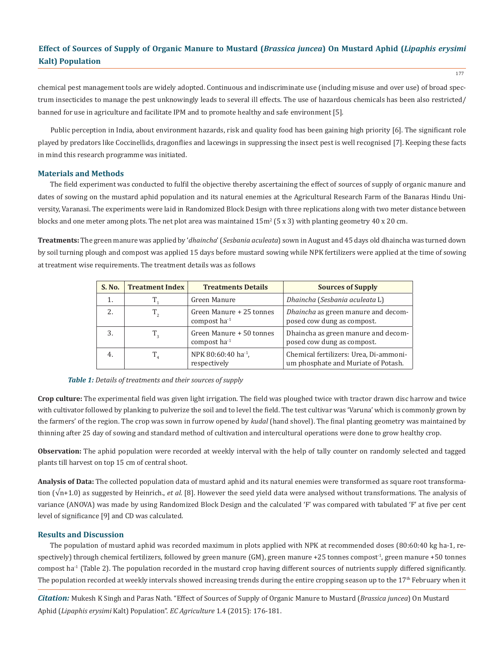177

chemical pest management tools are widely adopted. Continuous and indiscriminate use (including misuse and over use) of broad spectrum insecticides to manage the pest unknowingly leads to several ill effects. The use of hazardous chemicals has been also restricted/ banned for use in agriculture and facilitate IPM and to promote healthy and safe environment [5].

Public perception in India, about environment hazards, risk and quality food has been gaining high priority [6]. The significant role played by predators like Coccinellids, dragonflies and lacewings in suppressing the insect pest is well recognised [7]. Keeping these facts in mind this research programme was initiated.

#### **Materials and Methods**

The field experiment was conducted to fulfil the objective thereby ascertaining the effect of sources of supply of organic manure and dates of sowing on the mustard aphid population and its natural enemies at the Agricultural Research Farm of the Banaras Hindu University, Varanasi. The experiments were laid in Randomized Block Design with three replications along with two meter distance between blocks and one meter among plots. The net plot area was maintained  $15m^2$  (5 x 3) with planting geometry 40 x 20 cm.

**Treatments:** The green manure was applied by '*dhaincha*' (*Sesbania aculeata*) sown in August and 45 days old dhaincha was turned down by soil turning plough and compost was applied 15 days before mustard sowing while NPK fertilizers were applied at the time of sowing at treatment wise requirements. The treatment details was as follows

| S. No. | <b>Treatment Index</b> | <b>Treatments Details</b>                       | <b>Sources of Supply</b>                                                      |
|--------|------------------------|-------------------------------------------------|-------------------------------------------------------------------------------|
|        |                        | Green Manure                                    | Dhaincha (Sesbania aculeata L)                                                |
|        | $T_{\gamma}$           | Green Manure + 25 tonnes<br>compost $ha^{-1}$   | Dhaincha as green manure and decom-<br>posed cow dung as compost.             |
|        | $T_{\circ}$            | Green Manure + 50 tonnes<br>compost $ha^{-1}$   | Dhaincha as green manure and decom-<br>posed cow dung as compost.             |
| 4.     | $T_{4}$                | NPK 80:60:40 ha <sup>-1</sup> ,<br>respectively | Chemical fertilizers: Urea, Di-ammoni-<br>um phosphate and Muriate of Potash. |

#### *Table 1: Details of treatments and their sources of supply*

**Crop culture:** The experimental field was given light irrigation. The field was ploughed twice with tractor drawn disc harrow and twice with cultivator followed by planking to pulverize the soil and to level the field. The test cultivar was 'Varuna' which is commonly grown by the farmers' of the region. The crop was sown in furrow opened by *kudal* (hand shovel). The final planting geometry was maintained by thinning after 25 day of sowing and standard method of cultivation and intercultural operations were done to grow healthy crop.

**Observation:** The aphid population were recorded at weekly interval with the help of tally counter on randomly selected and tagged plants till harvest on top 15 cm of central shoot.

**Analysis of Data:** The collected population data of mustard aphid and its natural enemies were transformed as square root transformation (√n+1.0) as suggested by Heinrich., *et al*. [8]. However the seed yield data were analysed without transformations. The analysis of variance (ANOVA) was made by using Randomized Block Design and the calculated 'F' was compared with tabulated 'F' at five per cent level of significance [9] and CD was calculated.

#### **Results and Discussion**

The population of mustard aphid was recorded maximum in plots applied with NPK at recommended doses (80:60:40 kg ha-1, respectively) through chemical fertilizers, followed by green manure (GM), green manure +25 tonnes compost<sup>-1</sup>, green manure +50 tonnes compost ha<sup>-1</sup> (Table 2). The population recorded in the mustard crop having different sources of nutrients supply differed significantly. The population recorded at weekly intervals showed increasing trends during the entire cropping season up to the 17<sup>th</sup> February when it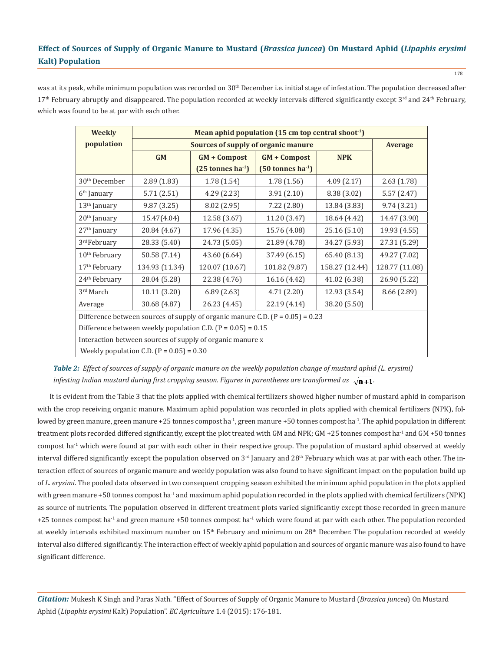was at its peak, while minimum population was recorded on 30<sup>th</sup> December i.e. initial stage of infestation. The population decreased after  $17<sup>th</sup>$  February abruptly and disappeared. The population recorded at weekly intervals differed significantly except  $3<sup>rd</sup>$  and  $24<sup>th</sup>$  February, which was found to be at par with each other.

| <b>Weekly</b>                                                                     | Mean aphid population $(15 \text{ cm}$ top central shoot <sup>1</sup> ) |                               |                               |                |                |
|-----------------------------------------------------------------------------------|-------------------------------------------------------------------------|-------------------------------|-------------------------------|----------------|----------------|
| population                                                                        | Sources of supply of organic manure                                     |                               |                               |                | <b>Average</b> |
|                                                                                   | GM                                                                      | <b>GM + Compost</b>           | $GM + Compost$                | <b>NPK</b>     |                |
|                                                                                   |                                                                         | $(25 \text{ tonnes ha}^{-1})$ | $(50 \text{ tonnes ha}^{-1})$ |                |                |
| 30 <sup>th</sup> December                                                         | 2.89(1.83)                                                              | 1.78(1.54)                    | 1.78(1.56)                    | 4.09(2.17)     | 2.63(1.78)     |
| $6th$ January                                                                     | 5.71(2.51)                                                              | 4.29(2.23)                    | 3.91(2.10)                    | 8.38 (3.02)    | 5.57(2.47)     |
| $13th$ January                                                                    | 9.87(3.25)                                                              | 8.02 (2.95)                   | 7.22(2.80)                    | 13.84 (3.83)   | 9.74(3.21)     |
| $20th$ January                                                                    | 15.47(4.04)                                                             | 12.58 (3.67)                  | 11.20 (3.47)                  | 18.64 (4.42)   | 14.47 (3.90)   |
| $27th$ January                                                                    | 20.84 (4.67)                                                            | 17.96 (4.35)                  | 15.76 (4.08)                  | 25.16 (5.10)   | 19.93 (4.55)   |
| 3 <sup>rd</sup> February                                                          | 28.33 (5.40)                                                            | 24.73 (5.05)                  | 21.89 (4.78)                  | 34.27 (5.93)   | 27.31 (5.29)   |
| $10th$ February                                                                   | 50.58 (7.14)                                                            | 43.60 (6.64)                  | 37.49 (6.15)                  | 65.40 (8.13)   | 49.27 (7.02)   |
| $17th$ February                                                                   | 134.93 (11.34)                                                          | 120.07 (10.67)                | 101.82 (9.87)                 | 158.27 (12.44) | 128.77 (11.08) |
| $24th$ February                                                                   | 28.04 (5.28)                                                            | 22.38 (4.76)                  | 16.16 (4.42)                  | 41.02 (6.38)   | 26.90 (5.22)   |
| $3rd$ March                                                                       | 10.11 (3.20)                                                            | 6.89(2.63)                    | 4.71(2.20)                    | 12.93 (3.54)   | 8.66 (2.89)    |
| Average                                                                           | 30.68 (4.87)                                                            | 26.23 (4.45)                  | 22.19 (4.14)                  | 38.20 (5.50)   |                |
| Difference between sources of supply of organic manure C.D. ( $P = 0.05$ ) = 0.23 |                                                                         |                               |                               |                |                |
| Difference between weekly population C.D. ( $P = 0.05$ ) = 0.15                   |                                                                         |                               |                               |                |                |
| Interaction between sources of supply of organic manure x                         |                                                                         |                               |                               |                |                |
| Weekly population C.D. $(P = 0.05) = 0.30$                                        |                                                                         |                               |                               |                |                |

*Table 2: Effect of sources of supply of organic manure on the weekly population change of mustard aphid (L. erysimi) infesting Indian mustard during first cropping season. Figures in parentheses are transformed as*  $\sqrt{n+1}$ .

It is evident from the Table 3 that the plots applied with chemical fertilizers showed higher number of mustard aphid in comparison with the crop receiving organic manure. Maximum aphid population was recorded in plots applied with chemical fertilizers (NPK), followed by green manure, green manure +25 tonnes compost ha<sup>-1</sup>, green manure +50 tonnes compost ha<sup>-1</sup>. The aphid population in different treatment plots recorded differed significantly, except the plot treated with GM and NPK; GM +25 tonnes compost ha-1 and GM +50 tonnes compost ha<sup>-1</sup> which were found at par with each other in their respective group. The population of mustard aphid observed at weekly interval differed significantly except the population observed on  $3<sup>rd</sup>$  January and  $28<sup>th</sup>$  February which was at par with each other. The interaction effect of sources of organic manure and weekly population was also found to have significant impact on the population build up of *L. erysimi*. The pooled data observed in two consequent cropping season exhibited the minimum aphid population in the plots applied with green manure +50 tonnes compost ha<sup>-1</sup> and maximum aphid population recorded in the plots applied with chemical fertilizers (NPK) as source of nutrients. The population observed in different treatment plots varied significantly except those recorded in green manure  $+25$  tonnes compost ha<sup>-1</sup> and green manure  $+50$  tonnes compost ha<sup>-1</sup> which were found at par with each other. The population recorded at weekly intervals exhibited maximum number on 15<sup>th</sup> February and minimum on 28<sup>th</sup> December. The population recorded at weekly interval also differed significantly. The interaction effect of weekly aphid population and sources of organic manure was also found to have significant difference.

*Citation:* Mukesh K Singh and Paras Nath. "Effect of Sources of Supply of Organic Manure to Mustard (*Brassica juncea*) On Mustard Aphid (*Lipaphis erysimi* Kalt) Population". *EC Agriculture* 1.4 (2015): 176-181.

178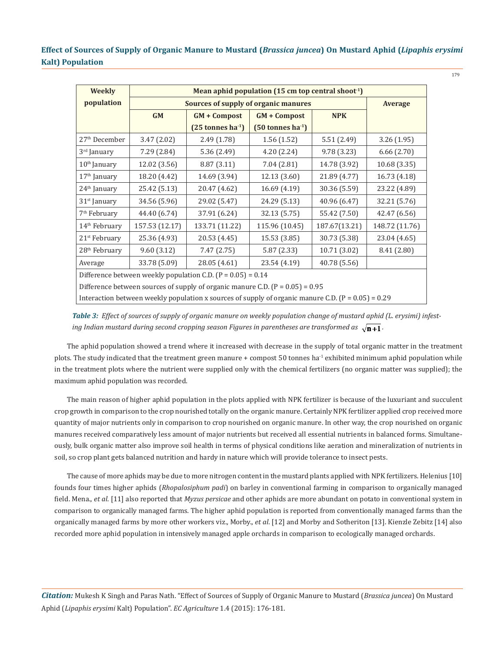179

| <b>Weekly</b>                                                                                        | Mean aphid population (15 cm top central shoot <sup>1</sup> ) |                               |                               |               |                |  |
|------------------------------------------------------------------------------------------------------|---------------------------------------------------------------|-------------------------------|-------------------------------|---------------|----------------|--|
| population                                                                                           | <b>Sources of supply of organic manures</b>                   |                               |                               |               | <b>Average</b> |  |
|                                                                                                      | GM                                                            | <b>GM + Compost</b>           | $GM + Compost$                | <b>NPK</b>    |                |  |
|                                                                                                      |                                                               | $(25 \text{ tonnes ha}^{-1})$ | $(50 \text{ tonnes ha}^{-1})$ |               |                |  |
| 27 <sup>th</sup> December                                                                            | 3.47(2.02)                                                    | 2.49(1.78)                    | 1.56(1.52)                    | 5.51(2.49)    | 3.26(1.95)     |  |
| $3rd$ January                                                                                        | 7.29 (2.84)                                                   | 5.36 (2.49)                   | 4.20(2.24)                    | 9.78 (3.23)   | 6.66(2.70)     |  |
| $10th$ January                                                                                       | 12.02 (3.56)                                                  | 8.87 (3.11)                   | 7.04(2.81)                    | 14.78 (3.92)  | 10.68 (3.35)   |  |
| $17th$ January                                                                                       | 18.20 (4.42)                                                  | 14.69 (3.94)                  | 12.13 (3.60)                  | 21.89 (4.77)  | 16.73 (4.18)   |  |
| 24 <sup>th</sup> January                                                                             | 25.42 (5.13)                                                  | 20.47 (4.62)                  | 16.69 (4.19)                  | 30.36 (5.59)  | 23.22 (4.89)   |  |
| $31st$ January                                                                                       | 34.56 (5.96)                                                  | 29.02 (5.47)                  | 24.29 (5.13)                  | 40.96 (6.47)  | 32.21 (5.76)   |  |
| 7 <sup>th</sup> February                                                                             | 44.40 (6.74)                                                  | 37.91 (6.24)                  | 32.13 (5.75)                  | 55.42 (7.50)  | 42.47 (6.56)   |  |
| $14th$ February                                                                                      | 157.53 (12.17)                                                | 133.71 (11.22)                | 115.96 (10.45)                | 187.67(13.21) | 148.72 (11.76) |  |
| $21st$ February                                                                                      | 25.36 (4.93)                                                  | 20.53 (4.45)                  | 15.53 (3.85)                  | 30.73 (5.38)  | 23.04 (4.65)   |  |
| $28th$ February                                                                                      | 9.60(3.12)                                                    | 7.47 (2.75)                   | 5.87(2.33)                    | 10.71 (3.02)  | 8.41 (2.80)    |  |
| Average                                                                                              | 33.78 (5.09)                                                  | 28.05 (4.61)                  | 23.54 (4.19)                  | 40.78 (5.56)  |                |  |
| Difference between weekly population C.D. ( $P = 0.05$ ) = 0.14                                      |                                                               |                               |                               |               |                |  |
| Difference between sources of supply of organic manure C.D. $(P = 0.05) = 0.95$                      |                                                               |                               |                               |               |                |  |
| Interaction between weekly population x sources of supply of organic manure C.D. $(P = 0.05) = 0.29$ |                                                               |                               |                               |               |                |  |

*Table 3: Effect of sources of supply of organic manure on weekly population change of mustard aphid (L. erysimi) infesting Indian mustard during second cropping season Figures in parentheses are transformed as*  $\sqrt{n+1}$ .

The aphid population showed a trend where it increased with decrease in the supply of total organic matter in the treatment plots. The study indicated that the treatment green manure + compost 50 tonnes ha<sup>-1</sup> exhibited minimum aphid population while in the treatment plots where the nutrient were supplied only with the chemical fertilizers (no organic matter was supplied); the maximum aphid population was recorded.

The main reason of higher aphid population in the plots applied with NPK fertilizer is because of the luxuriant and succulent crop growth in comparison to the crop nourished totally on the organic manure. Certainly NPK fertilizer applied crop received more quantity of major nutrients only in comparison to crop nourished on organic manure. In other way, the crop nourished on organic manures received comparatively less amount of major nutrients but received all essential nutrients in balanced forms. Simultaneously, bulk organic matter also improve soil health in terms of physical conditions like aeration and mineralization of nutrients in soil, so crop plant gets balanced nutrition and hardy in nature which will provide tolerance to insect pests.

The cause of more aphids may be due to more nitrogen content in the mustard plants applied with NPK fertilizers. Helenius [10] founds four times higher aphids (*Rhopalosiphum padi*) on barley in conventional farming in comparison to organically managed field. Mena., *et al*. [11] also reported that *Myzus persicae* and other aphids are more abundant on potato in conventional system in comparison to organically managed farms. The higher aphid population is reported from conventionally managed farms than the organically managed farms by more other workers viz., Morby., *et al*. [12] and Morby and Sotheriton [13]. Kienzle Zebitz [14] also recorded more aphid population in intensively managed apple orchards in comparison to ecologically managed orchards.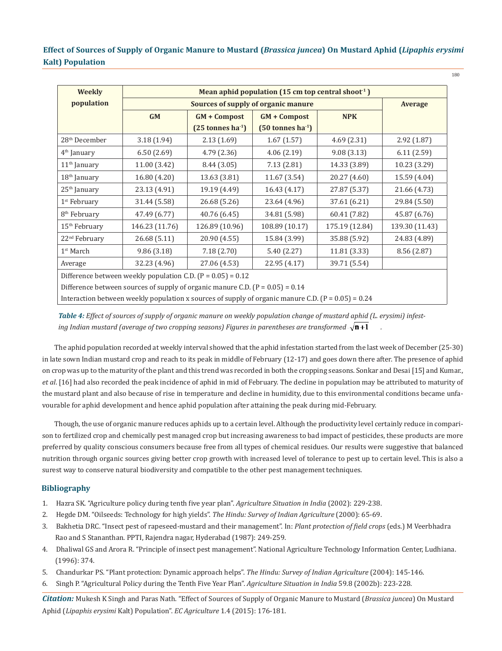180

| <b>Weekly</b>                                                                                          | Mean aphid population $(15 \text{ cm})$ top central shoot <sup>1</sup> ) |                               |                               |                |                |  |
|--------------------------------------------------------------------------------------------------------|--------------------------------------------------------------------------|-------------------------------|-------------------------------|----------------|----------------|--|
| population                                                                                             | <b>Sources of supply of organic manure</b>                               |                               |                               |                | <b>Average</b> |  |
|                                                                                                        | <b>GM</b>                                                                | <b>GM + Compost</b>           | <b>GM + Compost</b>           | <b>NPK</b>     |                |  |
|                                                                                                        |                                                                          | $(25 \text{ tonnes ha}^{-1})$ | $(50 \text{ tonnes ha}^{-1})$ |                |                |  |
| 28 <sup>th</sup> December                                                                              | 3.18(1.94)                                                               | 2.13(1.69)                    | 1.67(1.57)                    | 4.69(2.31)     | 2.92(1.87)     |  |
| $4th$ January                                                                                          | 6.50(2.69)                                                               | 4.79(2.36)                    | 4.06(2.19)                    | 9.08(3.13)     | 6.11(2.59)     |  |
| $11th$ January                                                                                         | 11.00 (3.42)                                                             | 8.44 (3.05)                   | 7.13(2.81)                    | 14.33 (3.89)   | 10.23 (3.29)   |  |
| $18th$ January                                                                                         | 16.80 (4.20)                                                             | 13.63 (3.81)                  | 11.67 (3.54)                  | 20.27 (4.60)   | 15.59 (4.04)   |  |
| $25th$ January                                                                                         | 23.13 (4.91)                                                             | 19.19 (4.49)                  | 16.43 (4.17)                  | 27.87 (5.37)   | 21.66 (4.73)   |  |
| $1st$ February                                                                                         | 31.44 (5.58)                                                             | 26.68 (5.26)                  | 23.64 (4.96)                  | 37.61 (6.21)   | 29.84 (5.50)   |  |
| 8 <sup>th</sup> February                                                                               | 47.49 (6.77)                                                             | 40.76 (6.45)                  | 34.81 (5.98)                  | 60.41 (7.82)   | 45.87 (6.76)   |  |
| $15th$ February                                                                                        | 146.23 (11.76)                                                           | 126.89 (10.96)                | 108.89 (10.17)                | 175.19 (12.84) | 139.30 (11.43) |  |
| 22 <sup>nd</sup> February                                                                              | 26.68 (5.11)                                                             | 20.90 (4.55)                  | 15.84 (3.99)                  | 35.88 (5.92)   | 24.83 (4.89)   |  |
| 1 <sup>st</sup> March                                                                                  | 9.86 (3.18)                                                              | 7.18(2.70)                    | 5.40 (2.27)                   | 11.81 (3.33)   | 8.56 (2.87)    |  |
| Average                                                                                                | 32.23 (4.96)                                                             | 27.06 (4.53)                  | 22.95 (4.17)                  | 39.71 (5.54)   |                |  |
| Difference between weekly population C.D. ( $P = 0.05$ ) = 0.12                                        |                                                                          |                               |                               |                |                |  |
| Difference between sources of supply of organic manure C.D. ( $P = 0.05$ ) = 0.14                      |                                                                          |                               |                               |                |                |  |
| Interaction between weekly population x sources of supply of organic manure C.D. ( $P = 0.05$ ) = 0.24 |                                                                          |                               |                               |                |                |  |

*Table 4: Effect of sources of supply of organic manure on weekly population change of mustard aphid (L. erysimi) infesting Indian mustard (average of two cropping seasons) Figures in parentheses are transformed*  $\sqrt{\mathbf{n+1}}$ 

The aphid population recorded at weekly interval showed that the aphid infestation started from the last week of December (25-30) in late sown Indian mustard crop and reach to its peak in middle of February (12-17) and goes down there after. The presence of aphid on crop was up to the maturity of the plant and this trend was recorded in both the cropping seasons. Sonkar and Desai [15] and Kumar., *et al*. [16] had also recorded the peak incidence of aphid in mid of February. The decline in population may be attributed to maturity of the mustard plant and also because of rise in temperature and decline in humidity, due to this environmental conditions became unfavourable for aphid development and hence aphid population after attaining the peak during mid-February.

Though, the use of organic manure reduces aphids up to a certain level. Although the productivity level certainly reduce in comparison to fertilized crop and chemically pest managed crop but increasing awareness to bad impact of pesticides, these products are more preferred by quality conscious consumers because free from all types of chemical residues. Our results were suggestive that balanced nutrition through organic sources giving better crop growth with increased level of tolerance to pest up to certain level. This is also a surest way to conserve natural biodiversity and compatible to the other pest management techniques.

### **Bibliography**

- 1. Hazra SK. "Agriculture policy during tenth five year plan". *Agriculture Situation in India* (2002): 229-238.
- 2. Hegde DM. "Oilseeds: Technology for high yields". *The Hindu: Survey of Indian Agriculture* (2000): 65-69.
- 3. Bakhetia DRC. "Insect pest of rapeseed-mustard and their management". In: *Plant protection of field crops* (eds.) M Veerbhadra Rao and S Stananthan. PPTI, Rajendra nagar, Hyderabad (1987): 249-259.
- 4. Dhaliwal GS and Arora R. "Principle of insect pest management". National Agriculture Technology Information Center, Ludhiana. (1996): 374.
- 5. Chandurkar PS. "Plant protection: Dynamic approach helps". *The Hindu: Survey of Indian Agriculture* (2004): 145-146.
- 6. Singh P. "Agricultural Policy during the Tenth Five Year Plan". *Agriculture Situation in India* 59.8 (2002b): 223-228.